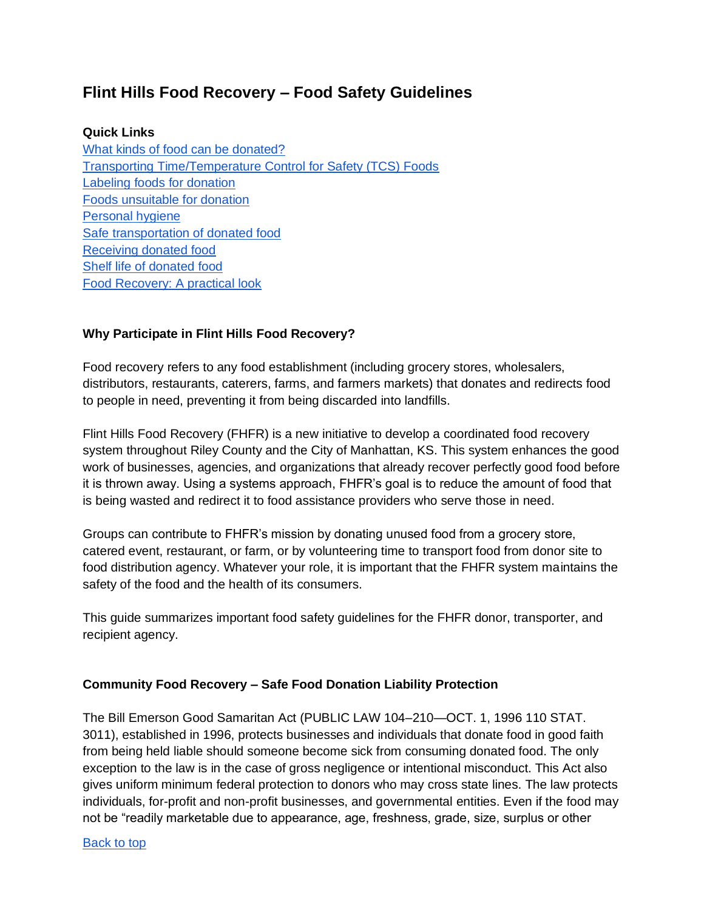# <span id="page-0-0"></span>**Flint Hills Food Recovery – Food Safety Guidelines**

#### **Quick Links**

[What kinds of food can be donated?](#page-1-0) [Transporting Time/Temperature Control for Safety \(TCS\) Foods](#page-2-0)  [Labeling foods for donation](#page-3-0) [Foods unsuitable for donation](#page-4-0) [Personal hygiene](#page-4-1) [Safe transportation of donated food](#page-4-2) [Receiving donated food](#page-5-0) [Shelf life of donated food](#page-5-1) [Food Recovery: A practical look](#page-7-0)

#### **Why Participate in Flint Hills Food Recovery?**

Food recovery refers to any food establishment (including grocery stores, wholesalers, distributors, restaurants, caterers, farms, and farmers markets) that donates and redirects food to people in need, preventing it from being discarded into landfills.

Flint Hills Food Recovery (FHFR) is a new initiative to develop a coordinated food recovery system throughout Riley County and the City of Manhattan, KS. This system enhances the good work of businesses, agencies, and organizations that already recover perfectly good food before it is thrown away. Using a systems approach, FHFR's goal is to reduce the amount of food that is being wasted and redirect it to food assistance providers who serve those in need.

Groups can contribute to FHFR's mission by donating unused food from a grocery store, catered event, restaurant, or farm, or by volunteering time to transport food from donor site to food distribution agency. Whatever your role, it is important that the FHFR system maintains the safety of the food and the health of its consumers.

This guide summarizes important food safety guidelines for the FHFR donor, transporter, and recipient agency.

#### **Community Food Recovery – Safe Food Donation Liability Protection**

The Bill Emerson Good Samaritan Act (PUBLIC LAW 104–210—OCT. 1, 1996 110 STAT. 3011), established in 1996, protects businesses and individuals that donate food in good faith from being held liable should someone become sick from consuming donated food. The only exception to the law is in the case of gross negligence or intentional misconduct. This Act also gives uniform minimum federal protection to donors who may cross state lines. The law protects individuals, for-profit and non-profit businesses, and governmental entities. Even if the food may not be "readily marketable due to appearance, age, freshness, grade, size, surplus or other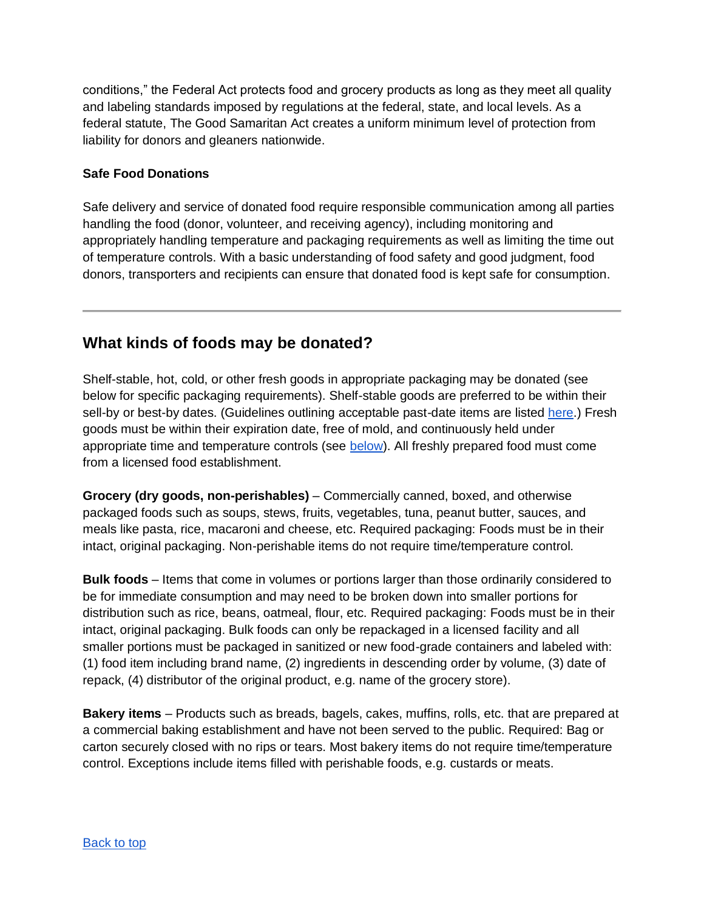conditions," the Federal Act protects food and grocery products as long as they meet all quality and labeling standards imposed by regulations at the federal, state, and local levels. As a federal statute, The Good Samaritan Act creates a uniform minimum level of protection from liability for donors and gleaners nationwide.

## **Safe Food Donations**

Safe delivery and service of donated food require responsible communication among all parties handling the food (donor, volunteer, and receiving agency), including monitoring and appropriately handling temperature and packaging requirements as well as limiting the time out of temperature controls. With a basic understanding of food safety and good judgment, food donors, transporters and recipients can ensure that donated food is kept safe for consumption.

# <span id="page-1-0"></span>**What kinds of foods may be donated?**

Shelf-stable, hot, cold, or other fresh goods in appropriate packaging may be donated (see below for specific packaging requirements). Shelf-stable goods are preferred to be within their sell-by or best-by dates. (Guidelines outlining acceptable past-date items are listed [here.](#page-5-1)) Fresh goods must be within their expiration date, free of mold, and continuously held under appropriate time and temperature controls (see [below\)](#page-2-0). All freshly prepared food must come from a licensed food establishment.

**Grocery (dry goods, non-perishables)** – Commercially canned, boxed, and otherwise packaged foods such as soups, stews, fruits, vegetables, tuna, peanut butter, sauces, and meals like pasta, rice, macaroni and cheese, etc. Required packaging: Foods must be in their intact, original packaging. Non-perishable items do not require time/temperature control.

**Bulk foods** – Items that come in volumes or portions larger than those ordinarily considered to be for immediate consumption and may need to be broken down into smaller portions for distribution such as rice, beans, oatmeal, flour, etc. Required packaging: Foods must be in their intact, original packaging. Bulk foods can only be repackaged in a licensed facility and all smaller portions must be packaged in sanitized or new food-grade containers and labeled with: (1) food item including brand name, (2) ingredients in descending order by volume, (3) date of repack, (4) distributor of the original product, e.g. name of the grocery store).

**Bakery items** – Products such as breads, bagels, cakes, muffins, rolls, etc. that are prepared at a commercial baking establishment and have not been served to the public. Required: Bag or carton securely closed with no rips or tears. Most bakery items do not require time/temperature control. Exceptions include items filled with perishable foods, e.g. custards or meats.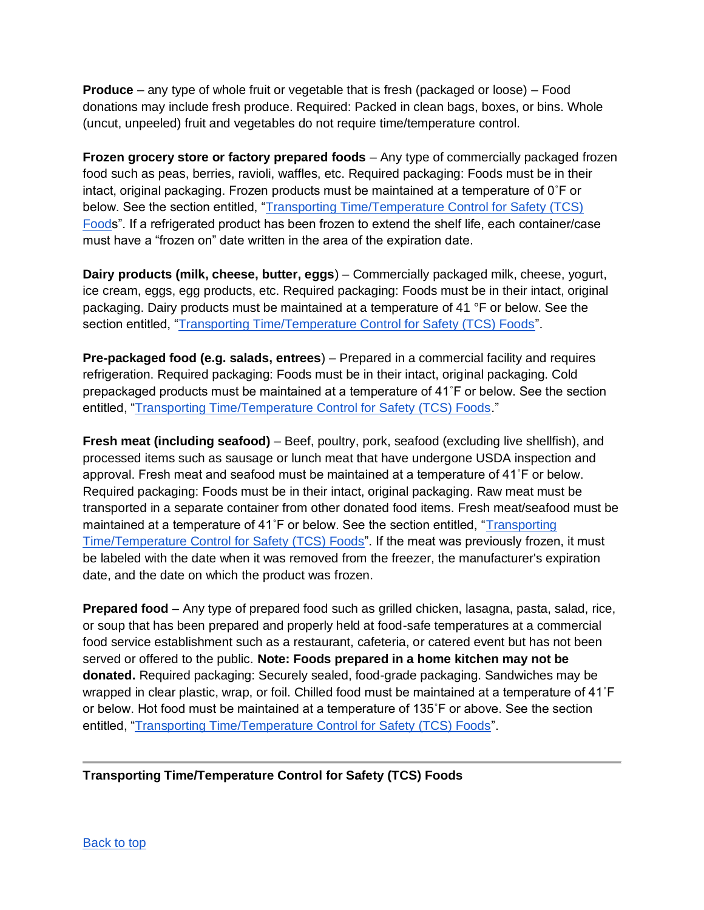**Produce** – any type of whole fruit or vegetable that is fresh (packaged or loose) – Food donations may include fresh produce. Required: Packed in clean bags, boxes, or bins. Whole (uncut, unpeeled) fruit and vegetables do not require time/temperature control.

**Frozen grocery store or factory prepared foods** – Any type of commercially packaged frozen food such as peas, berries, ravioli, waffles, etc. Required packaging: Foods must be in their intact, original packaging. Frozen products must be maintained at a temperature of 0˚F or below. See the section entitled, "Transporting Time/Temperature Control for Safety (TCS) [Foods](#page-2-0)". If a refrigerated product has been frozen to extend the shelf life, each container/case must have a "frozen on" date written in the area of the expiration date.

**Dairy products (milk, cheese, butter, eggs**) – Commercially packaged milk, cheese, yogurt, ice cream, eggs, egg products, etc. Required packaging: Foods must be in their intact, original packaging. Dairy products must be maintained at a temperature of 41 °F or below. See the section entitled, ["Transporting Time/Temperature Control for Safety \(TCS\) Foods"](#page-2-0).

**Pre-packaged food (e.g. salads, entrees**) – Prepared in a commercial facility and requires refrigeration. Required packaging: Foods must be in their intact, original packaging. Cold prepackaged products must be maintained at a temperature of 41˚F or below. See the section entitled, ["Transporting Time/Temperature Control for Safety \(TCS\) Foods.](#page-2-0)"

**Fresh meat (including seafood)** – Beef, poultry, pork, seafood (excluding live shellfish), and processed items such as sausage or lunch meat that have undergone USDA inspection and approval. Fresh meat and seafood must be maintained at a temperature of 41˚F or below. Required packaging: Foods must be in their intact, original packaging. Raw meat must be transported in a separate container from other donated food items. Fresh meat/seafood must be maintained at a temperature of 41˚F or below. See the section entitled, ["Transporting](#page-2-0)  [Time/Temperature Control for Safety \(TCS\) Foods"](#page-2-0). If the meat was previously frozen, it must be labeled with the date when it was removed from the freezer, the manufacturer's expiration date, and the date on which the product was frozen.

**Prepared food** – Any type of prepared food such as grilled chicken, lasagna, pasta, salad, rice, or soup that has been prepared and properly held at food-safe temperatures at a commercial food service establishment such as a restaurant, cafeteria, or catered event but has not been served or offered to the public. **Note: Foods prepared in a home kitchen may not be donated.** Required packaging: Securely sealed, food-grade packaging. Sandwiches may be wrapped in clear plastic, wrap, or foil. Chilled food must be maintained at a temperature of 41˚F or below. Hot food must be maintained at a temperature of 135˚F or above. See the section entitled, ["Transporting Time/Temperature Control for Safety \(TCS\) Foods"](#page-2-0).

<span id="page-2-0"></span>**Transporting Time/Temperature Control for Safety (TCS) Foods**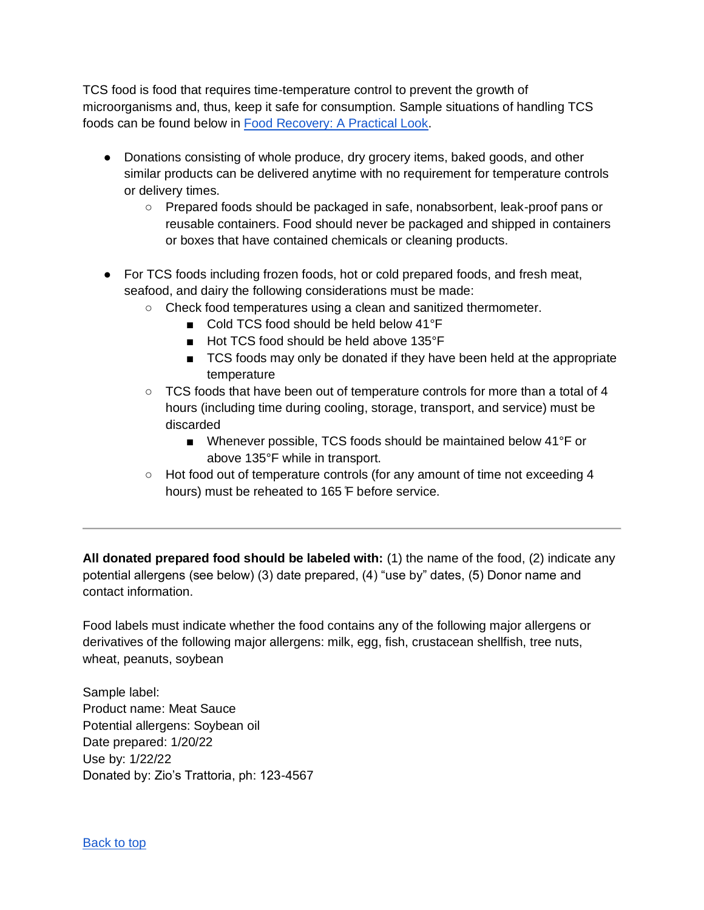TCS food is food that requires time-temperature control to prevent the growth of microorganisms and, thus, keep it safe for consumption. Sample situations of handling TCS foods can be found below in [Food Recovery: A Practical Look.](#page-7-0)

- Donations consisting of whole produce, dry grocery items, baked goods, and other similar products can be delivered anytime with no requirement for temperature controls or delivery times.
	- Prepared foods should be packaged in safe, nonabsorbent, leak-proof pans or reusable containers. Food should never be packaged and shipped in containers or boxes that have contained chemicals or cleaning products.
- For TCS foods including frozen foods, hot or cold prepared foods, and fresh meat, seafood, and dairy the following considerations must be made:
	- Check food temperatures using a clean and sanitized thermometer.
		- Cold TCS food should be held below 41°F
		- Hot TCS food should be held above 135°F
		- TCS foods may only be donated if they have been held at the appropriate temperature
	- TCS foods that have been out of temperature controls for more than a total of 4 hours (including time during cooling, storage, transport, and service) must be discarded
		- Whenever possible, TCS foods should be maintained below 41°F or above 135°F while in transport.
	- Hot food out of temperature controls (for any amount of time not exceeding 4 hours) must be reheated to 165 ̊F before service.

<span id="page-3-0"></span>**All donated prepared food should be labeled with:** (1) the name of the food, (2) indicate any potential allergens (see below) (3) date prepared, (4) "use by" dates, (5) Donor name and contact information.

Food labels must indicate whether the food contains any of the following major allergens or derivatives of the following major allergens: milk, egg, fish, crustacean shellfish, tree nuts, wheat, peanuts, soybean

Sample label: Product name: Meat Sauce Potential allergens: Soybean oil Date prepared: 1/20/22 Use by: 1/22/22 Donated by: Zio's Trattoria, ph: 123-4567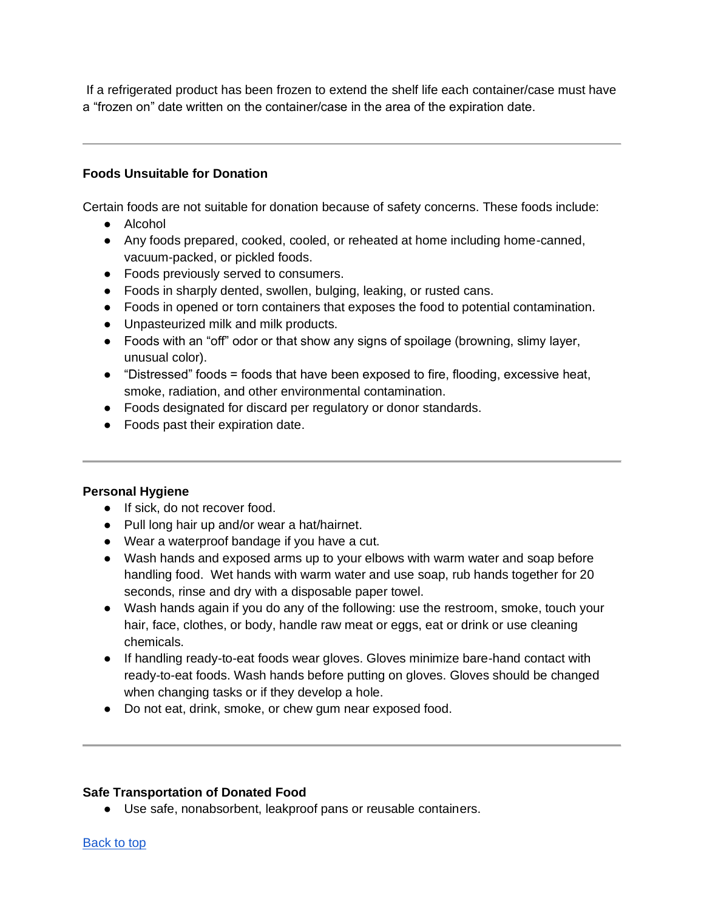If a refrigerated product has been frozen to extend the shelf life each container/case must have a "frozen on" date written on the container/case in the area of the expiration date.

## <span id="page-4-0"></span>**Foods Unsuitable for Donation**

Certain foods are not suitable for donation because of safety concerns. These foods include:

- Alcohol
- Any foods prepared, cooked, cooled, or reheated at home including home-canned, vacuum-packed, or pickled foods.
- Foods previously served to consumers.
- Foods in sharply dented, swollen, bulging, leaking, or rusted cans.
- Foods in opened or torn containers that exposes the food to potential contamination.
- Unpasteurized milk and milk products.
- Foods with an "off" odor or that show any signs of spoilage (browning, slimy layer, unusual color).
- $\bullet$  "Distressed" foods = foods that have been exposed to fire, flooding, excessive heat, smoke, radiation, and other environmental contamination.
- Foods designated for discard per regulatory or donor standards.
- Foods past their expiration date.

#### <span id="page-4-1"></span>**Personal Hygiene**

- If sick, do not recover food.
- Pull long hair up and/or wear a hat/hairnet.
- Wear a waterproof bandage if you have a cut.
- Wash hands and exposed arms up to your elbows with warm water and soap before handling food. Wet hands with warm water and use soap, rub hands together for 20 seconds, rinse and dry with a disposable paper towel.
- Wash hands again if you do any of the following: use the restroom, smoke, touch your hair, face, clothes, or body, handle raw meat or eggs, eat or drink or use cleaning chemicals.
- If handling ready-to-eat foods wear gloves. Gloves minimize bare-hand contact with ready-to-eat foods. Wash hands before putting on gloves. Gloves should be changed when changing tasks or if they develop a hole.
- Do not eat, drink, smoke, or chew gum near exposed food.

#### <span id="page-4-2"></span>**Safe Transportation of Donated Food**

● Use safe, nonabsorbent, leakproof pans or reusable containers.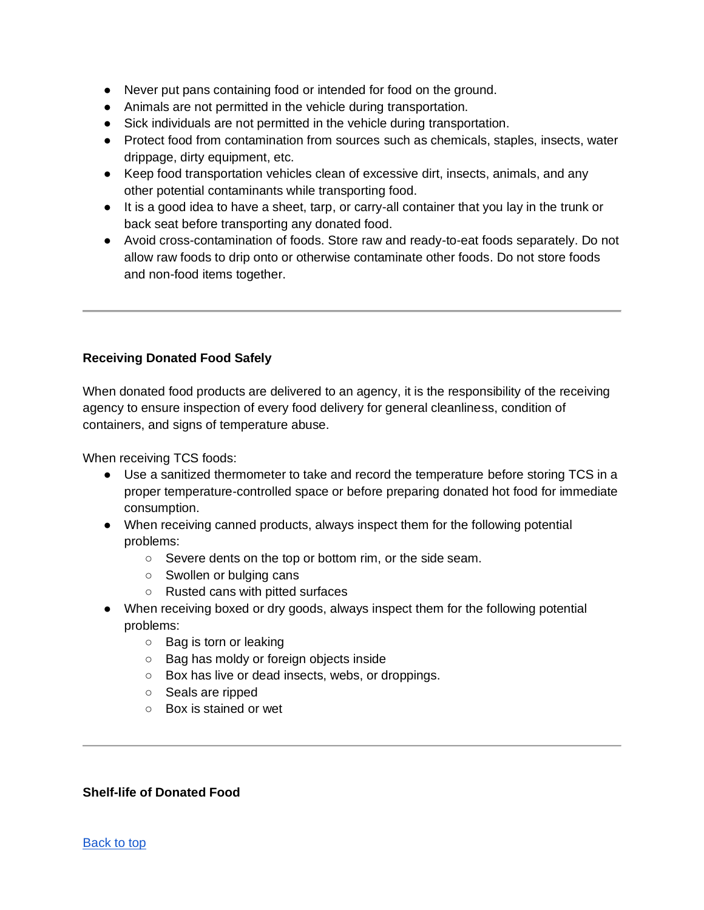- Never put pans containing food or intended for food on the ground.
- Animals are not permitted in the vehicle during transportation.
- Sick individuals are not permitted in the vehicle during transportation.
- Protect food from contamination from sources such as chemicals, staples, insects, water drippage, dirty equipment, etc.
- Keep food transportation vehicles clean of excessive dirt, insects, animals, and any other potential contaminants while transporting food.
- It is a good idea to have a sheet, tarp, or carry-all container that you lay in the trunk or back seat before transporting any donated food.
- Avoid cross-contamination of foods. Store raw and ready-to-eat foods separately. Do not allow raw foods to drip onto or otherwise contaminate other foods. Do not store foods and non-food items together.

## <span id="page-5-0"></span>**Receiving Donated Food Safely**

When donated food products are delivered to an agency, it is the responsibility of the receiving agency to ensure inspection of every food delivery for general cleanliness, condition of containers, and signs of temperature abuse.

When receiving TCS foods:

- Use a sanitized thermometer to take and record the temperature before storing TCS in a proper temperature-controlled space or before preparing donated hot food for immediate consumption.
- When receiving canned products, always inspect them for the following potential problems:
	- Severe dents on the top or bottom rim, or the side seam.
	- Swollen or bulging cans
	- Rusted cans with pitted surfaces
- When receiving boxed or dry goods, always inspect them for the following potential problems:
	- Bag is torn or leaking
	- Bag has moldy or foreign objects inside
	- Box has live or dead insects, webs, or droppings.
	- Seals are ripped
	- Box is stained or wet

#### <span id="page-5-1"></span>**Shelf-life of Donated Food**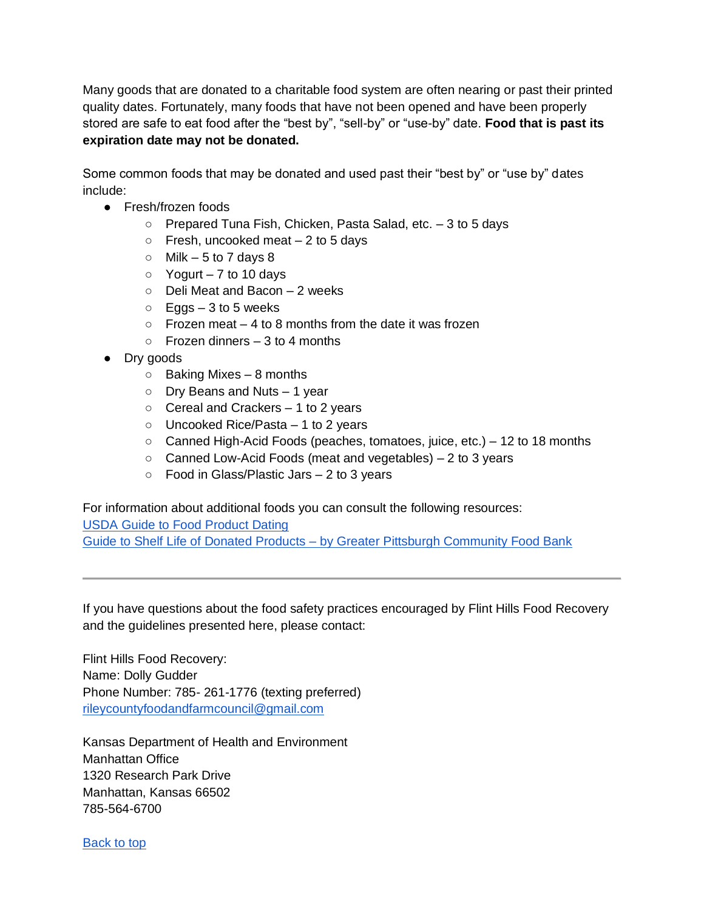Many goods that are donated to a charitable food system are often nearing or past their printed quality dates. Fortunately, many foods that have not been opened and have been properly stored are safe to eat food after the "best by", "sell-by" or "use-by" date. **Food that is past its expiration date may not be donated.**

Some common foods that may be donated and used past their "best by" or "use by" dates include:

- Fresh/frozen foods
	- Prepared Tuna Fish, Chicken, Pasta Salad, etc. 3 to 5 days
	- $\circ$  Fresh, uncooked meat  $-2$  to 5 days
	- $\circ$  Milk 5 to 7 days 8
	- $\circ$  Yogurt 7 to 10 days
	- Deli Meat and Bacon 2 weeks
	- $\circ$  Eggs 3 to 5 weeks
	- $\circ$  Frozen meat 4 to 8 months from the date it was frozen
	- $\circ$  Frozen dinners 3 to 4 months
- Dry goods
	- $\circ$  Baking Mixes 8 months
	- Dry Beans and Nuts 1 year
	- $\circ$  Cereal and Crackers 1 to 2 years
	- Uncooked Rice/Pasta 1 to 2 years
	- $\circ$  Canned High-Acid Foods (peaches, tomatoes, juice, etc.) 12 to 18 months
	- Canned Low-Acid Foods (meat and vegetables) 2 to 3 years
	- $\circ$  Food in Glass/Plastic Jars  $-2$  to 3 years

For information about additional foods you can consult the following resources: USDA Guide to Food Product Dating Guide to Shelf Life of Donated Products – by Greater Pittsburgh Community Food Bank

If you have questions about the food safety practices encouraged by Flint Hills Food Recovery and the guidelines presented here, please contact:

Flint Hills Food Recovery: Name: Dolly Gudder Phone Number: 785- 261-1776 (texting preferred) rileycountyfoodandfarmcouncil@gmail.com

Kansas Department of Health and Environment Manhattan Office 1320 Research Park Drive Manhattan, Kansas 66502 785-564-6700

Back to top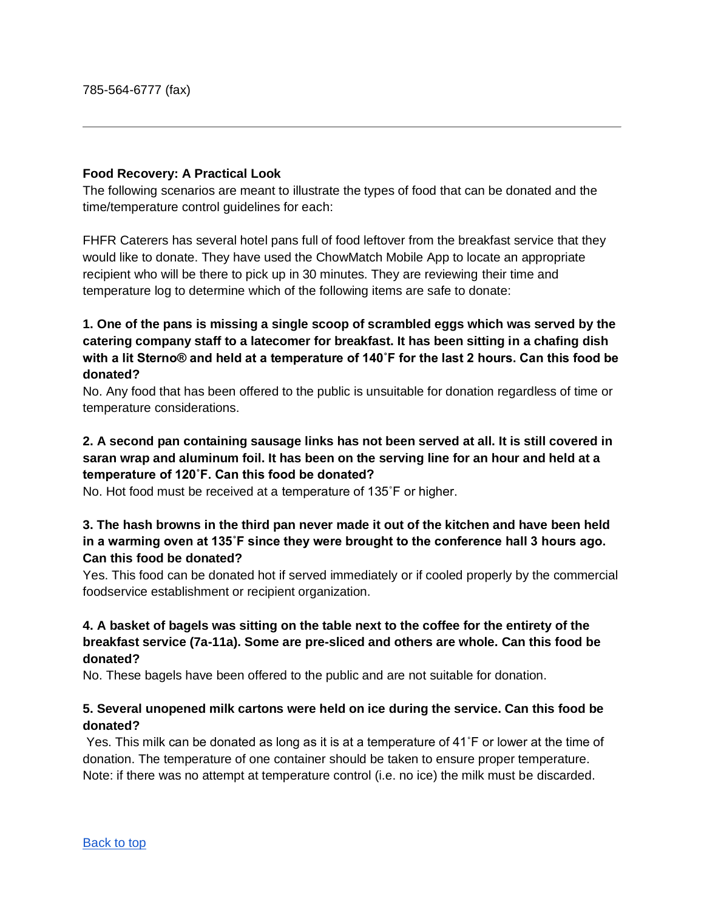#### <span id="page-7-0"></span>**Food Recovery: A Practical Look**

The following scenarios are meant to illustrate the types of food that can be donated and the time/temperature control guidelines for each:

FHFR Caterers has several hotel pans full of food leftover from the breakfast service that they would like to donate. They have used the ChowMatch Mobile App to locate an appropriate recipient who will be there to pick up in 30 minutes. They are reviewing their time and temperature log to determine which of the following items are safe to donate:

## **1. One of the pans is missing a single scoop of scrambled eggs which was served by the catering company staff to a latecomer for breakfast. It has been sitting in a chafing dish with a lit Sterno® and held at a temperature of 140˚F for the last 2 hours. Can this food be donated?**

No. Any food that has been offered to the public is unsuitable for donation regardless of time or temperature considerations.

## **2. A second pan containing sausage links has not been served at all. It is still covered in saran wrap and aluminum foil. It has been on the serving line for an hour and held at a temperature of 120˚F. Can this food be donated?**

No. Hot food must be received at a temperature of 135˚F or higher.

## **3. The hash browns in the third pan never made it out of the kitchen and have been held in a warming oven at 135˚F since they were brought to the conference hall 3 hours ago. Can this food be donated?**

Yes. This food can be donated hot if served immediately or if cooled properly by the commercial foodservice establishment or recipient organization.

## **4. A basket of bagels was sitting on the table next to the coffee for the entirety of the breakfast service (7a-11a). Some are pre-sliced and others are whole. Can this food be donated?**

No. These bagels have been offered to the public and are not suitable for donation.

## **5. Several unopened milk cartons were held on ice during the service. Can this food be donated?**

Yes. This milk can be donated as long as it is at a temperature of 41˚F or lower at the time of donation. The temperature of one container should be taken to ensure proper temperature. Note: if there was no attempt at temperature control (i.e. no ice) the milk must be discarded.